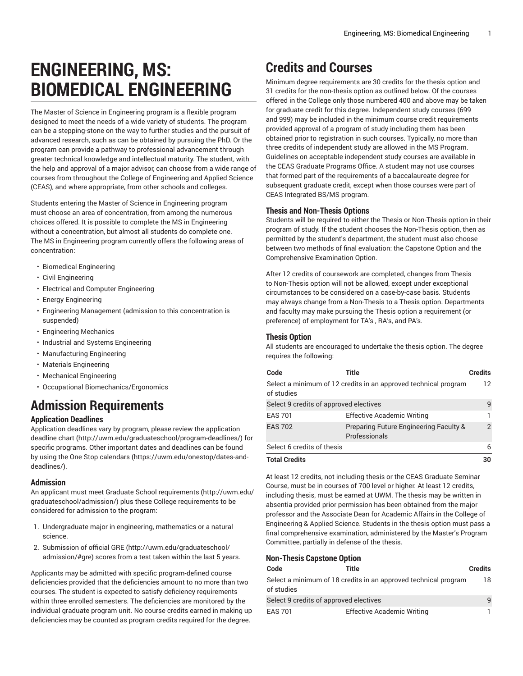# **ENGINEERING, MS: BIOMEDICAL ENGINEERING**

The Master of Science in Engineering program is a flexible program designed to meet the needs of a wide variety of students. The program can be a stepping-stone on the way to further studies and the pursuit of advanced research, such as can be obtained by pursuing the PhD. Or the program can provide a pathway to professional advancement through greater technical knowledge and intellectual maturity. The student, with the help and approval of a major advisor, can choose from a wide range of courses from throughout the College of Engineering and Applied Science (CEAS), and where appropriate, from other schools and colleges.

Students entering the Master of Science in Engineering program must choose an area of concentration, from among the numerous choices offered. It is possible to complete the MS in Engineering without a concentration, but almost all students do complete one. The MS in Engineering program currently offers the following areas of concentration:

- Biomedical Engineering
- Civil Engineering
- Electrical and Computer Engineering
- Energy Engineering
- Engineering Management (admission to this concentration is suspended)
- Engineering Mechanics
- Industrial and Systems Engineering
- Manufacturing Engineering
- Materials Engineering
- Mechanical Engineering
- Occupational Biomechanics/Ergonomics

# **Admission Requirements**

# **Application Deadlines**

Application deadlines vary by program, please review the [application](http://uwm.edu/graduateschool/program-deadlines/) [deadline](http://uwm.edu/graduateschool/program-deadlines/) chart ([http://uwm.edu/graduateschool/program-deadlines/\)](http://uwm.edu/graduateschool/program-deadlines/) for specific programs. Other important dates and deadlines can be found by using the [One Stop calendars](https://uwm.edu/onestop/dates-and-deadlines/) ([https://uwm.edu/onestop/dates-and](https://uwm.edu/onestop/dates-and-deadlines/)[deadlines/\)](https://uwm.edu/onestop/dates-and-deadlines/).

# **Admission**

An applicant must meet Graduate School [requirements](http://uwm.edu/graduateschool/admission/) ([http://uwm.edu/](http://uwm.edu/graduateschool/admission/) [graduateschool/admission/](http://uwm.edu/graduateschool/admission/)) plus these College requirements to be considered for admission to the program:

- 1. Undergraduate major in engineering, mathematics or a natural science.
- 2. Submission of official [GRE \(http://uwm.edu/graduateschool/](http://uwm.edu/graduateschool/admission/#gre) [admission/#gre](http://uwm.edu/graduateschool/admission/#gre)) scores from a test taken within the last 5 years.

Applicants may be admitted with specific program-defined course deficiencies provided that the deficiencies amount to no more than two courses. The student is expected to satisfy deficiency requirements within three enrolled semesters. The deficiencies are monitored by the individual graduate program unit. No course credits earned in making up deficiencies may be counted as program credits required for the degree.

# **Credits and Courses**

Minimum degree requirements are 30 credits for the thesis option and 31 credits for the non-thesis option as outlined below. Of the courses offered in the College only those numbered 400 and above may be taken for graduate credit for this degree. Independent study courses (699 and 999) may be included in the minimum course credit requirements provided approval of a program of study including them has been obtained prior to registration in such courses. Typically, no more than three credits of independent study are allowed in the MS Program. Guidelines on acceptable independent study courses are available in the CEAS Graduate Programs Office. A student may not use courses that formed part of the requirements of a baccalaureate degree for subsequent graduate credit, except when those courses were part of CEAS Integrated BS/MS program.

# **Thesis and Non-Thesis Options**

Students will be required to either the Thesis or Non-Thesis option in their program of study. If the student chooses the Non-Thesis option, then as permitted by the student's department, the student must also choose between two methods of final evaluation: the Capstone Option and the Comprehensive Examination Option.

After 12 credits of coursework are completed, changes from Thesis to Non-Thesis option will not be allowed, except under exceptional circumstances to be considered on a case-by-case basis. Students may always change from a Non-Thesis to a Thesis option. Departments and faculty may make pursuing the Thesis option a requirement (or preference) of employment for TA's , RA's, and PA's.

# **Thesis Option**

All students are encouraged to undertake the thesis option. The degree requires the following:

| Code                                   | Title                                                           | <b>Credits</b>  |
|----------------------------------------|-----------------------------------------------------------------|-----------------|
| of studies                             | Select a minimum of 12 credits in an approved technical program | 12 <sup>°</sup> |
| Select 9 credits of approved electives |                                                                 | 9               |
| <b>EAS 701</b>                         | <b>Effective Academic Writing</b>                               |                 |
| <b>EAS 702</b>                         | Preparing Future Engineering Faculty &<br>Professionals         | $\overline{2}$  |
| Select 6 credits of thesis             |                                                                 | 6               |
| <b>Total Credits</b>                   |                                                                 | 30              |

At least 12 credits, not including thesis or the CEAS Graduate Seminar Course, must be in courses of 700 level or higher. At least 12 credits, including thesis, must be earned at UWM. The thesis may be written in absentia provided prior permission has been obtained from the major professor and the Associate Dean for Academic Affairs in the College of Engineering & Applied Science. Students in the thesis option must pass a final comprehensive examination, administered by the Master's Program Committee, partially in defense of the thesis.

# **Non-Thesis Capstone Option**

| Code                                   | Title                                                           | <b>Credits</b> |
|----------------------------------------|-----------------------------------------------------------------|----------------|
| of studies                             | Select a minimum of 18 credits in an approved technical program | 18             |
| Select 9 credits of approved electives |                                                                 | 9              |
| <b>EAS 701</b>                         | <b>Effective Academic Writing</b>                               |                |